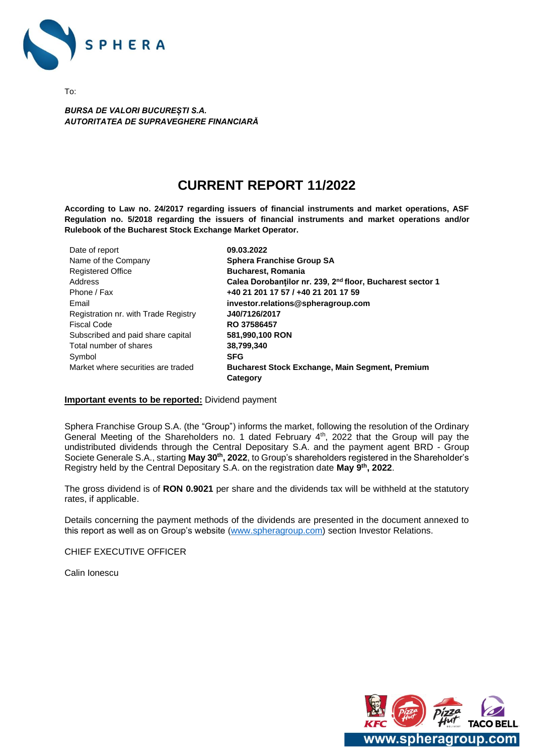

To:

*BURSA DE VALORI BUCUREȘTI S.A. AUTORITATEA DE SUPRAVEGHERE FINANCIARĂ* 

# **CURRENT REPORT 11/2022**

**According to Law no. 24/2017 regarding issuers of financial instruments and market operations, ASF Regulation no. 5/2018 regarding the issuers of financial instruments and market operations and/or Rulebook of the Bucharest Stock Exchange Market Operator.**

| 09.03.2022                                                            |
|-----------------------------------------------------------------------|
| <b>Sphera Franchise Group SA</b>                                      |
| <b>Bucharest, Romania</b>                                             |
| Calea Dorobantilor nr. 239, 2 <sup>nd</sup> floor, Bucharest sector 1 |
| +40 21 201 17 57 / +40 21 201 17 59                                   |
| investor.relations@spheragroup.com                                    |
| J40/7126/2017                                                         |
| RO 37586457                                                           |
| 581,990,100 RON                                                       |
| 38,799,340                                                            |
| <b>SFG</b>                                                            |
| Bucharest Stock Exchange, Main Segment, Premium                       |
| Category                                                              |
|                                                                       |

#### **Important events to be reported:** Dividend payment

Sphera Franchise Group S.A. (the "Group") informs the market, following the resolution of the Ordinary General Meeting of the Shareholders no. 1 dated February 4th, 2022 that the Group will pay the undistributed dividends through the Central Depositary S.A. and the payment agent BRD - Group Societe Generale S.A., starting **May 30th, 2022**, to Group's shareholders registered in the Shareholder's Registry held by the Central Depositary S.A. on the registration date **May 9th, 2022**.

The gross dividend is of **RON 0.9021** per share and the dividends tax will be withheld at the statutory rates, if applicable.

Details concerning the payment methods of the dividends are presented in the document annexed to this report as well as on Group's website [\(www.spheragroup.com\)](http://www.spheragroup.com/) section Investor Relations.

CHIEF EXECUTIVE OFFICER

Calin Ionescu

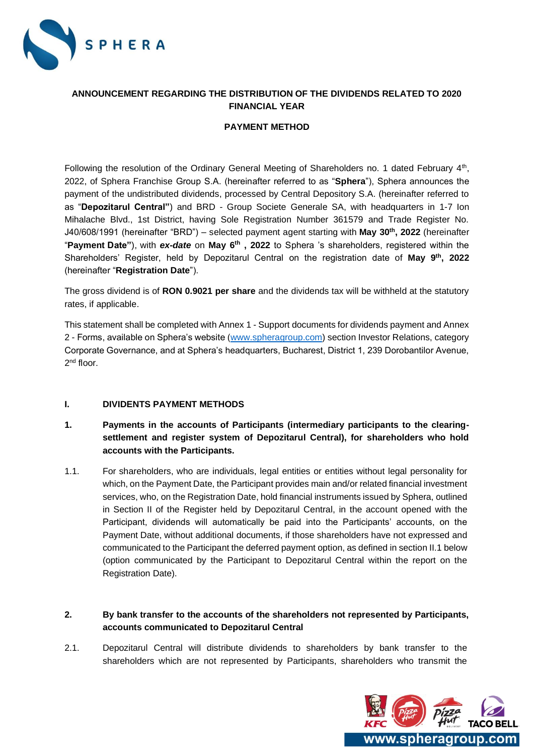

# **ANNOUNCEMENT REGARDING THE DISTRIBUTION OF THE DIVIDENDS RELATED TO 2020 FINANCIAL YEAR**

## **PAYMENT METHOD**

Following the resolution of the Ordinary General Meeting of Shareholders no. 1 dated February 4<sup>th</sup>, 2022, of Sphera Franchise Group S.A. (hereinafter referred to as "**Sphera**"), Sphera announces the payment of the undistributed dividends, processed by Central Depository S.A. (hereinafter referred to as "**Depozitarul Central"**) and BRD - Group Societe Generale SA, with headquarters in 1-7 Ion Mihalache Blvd., 1st District, having Sole Registration Number 361579 and Trade Register No. J40/608/1991 (hereinafter "BRD") – selected payment agent starting with **May 30th, 2022** (hereinafter "**Payment Date"**), with *ex-date* on **May 6th , 2022** to Sphera 's shareholders, registered within the Shareholders' Register, held by Depozitarul Central on the registration date of **May 9th, 2022** (hereinafter "**Registration Date**").

The gross dividend is of **RON 0.9021 per share** and the dividends tax will be withheld at the statutory rates, if applicable.

This statement shall be completed with Annex 1 - Support documents for dividends payment and Annex 2 - Forms, available on Sphera's website [\(www.spheragroup.com\)](http://www.spheragroup.com/) section Investor Relations, category Corporate Governance, and at Sphera's headquarters, Bucharest, District 1, 239 Dorobantilor Avenue, 2<sup>nd</sup> floor.

#### **I. DIVIDENTS PAYMENT METHODS**

- **1. Payments in the accounts of Participants (intermediary participants to the clearingsettlement and register system of Depozitarul Central), for shareholders who hold accounts with the Participants.**
- 1.1. For shareholders, who are individuals, legal entities or entities without legal personality for which, on the Payment Date, the Participant provides main and/or related financial investment services, who, on the Registration Date, hold financial instruments issued by Sphera, outlined in Section II of the Register held by Depozitarul Central, in the account opened with the Participant, dividends will automatically be paid into the Participants' accounts, on the Payment Date, without additional documents, if those shareholders have not expressed and communicated to the Participant the deferred payment option, as defined in section II.1 below (option communicated by the Participant to Depozitarul Central within the report on the Registration Date).

# **2. By bank transfer to the accounts of the shareholders not represented by Participants, accounts communicated to Depozitarul Central**

2.1. Depozitarul Central will distribute dividends to shareholders by bank transfer to the shareholders which are not represented by Participants, shareholders who transmit the

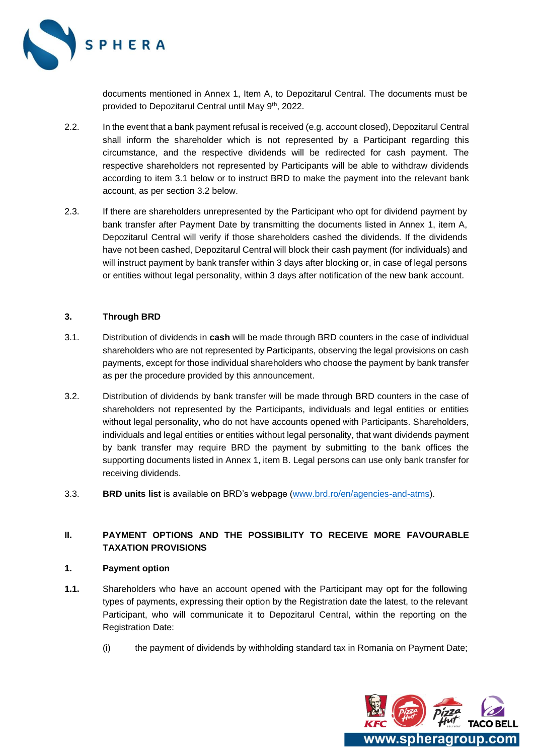

documents mentioned in Annex 1, Item A, to Depozitarul Central. The documents must be provided to Depozitarul Central until May 9th, 2022.

- 2.2. In the event that a bank payment refusal is received (e.g. account closed), Depozitarul Central shall inform the shareholder which is not represented by a Participant regarding this circumstance, and the respective dividends will be redirected for cash payment. The respective shareholders not represented by Participants will be able to withdraw dividends according to item 3.1 below or to instruct BRD to make the payment into the relevant bank account, as per section 3.2 below.
- 2.3. If there are shareholders unrepresented by the Participant who opt for dividend payment by bank transfer after Payment Date by transmitting the documents listed in Annex 1, item A, Depozitarul Central will verify if those shareholders cashed the dividends. If the dividends have not been cashed, Depozitarul Central will block their cash payment (for individuals) and will instruct payment by bank transfer within 3 days after blocking or, in case of legal persons or entities without legal personality, within 3 days after notification of the new bank account.

#### **3. Through BRD**

- 3.1. Distribution of dividends in **cash** will be made through BRD counters in the case of individual shareholders who are not represented by Participants, observing the legal provisions on cash payments, except for those individual shareholders who choose the payment by bank transfer as per the procedure provided by this announcement.
- 3.2. Distribution of dividends by bank transfer will be made through BRD counters in the case of shareholders not represented by the Participants, individuals and legal entities or entities without legal personality, who do not have accounts opened with Participants. Shareholders, individuals and legal entities or entities without legal personality, that want dividends payment by bank transfer may require BRD the payment by submitting to the bank offices the supporting documents listed in Annex 1, item B. Legal persons can use only bank transfer for receiving dividends.
- 3.3. **BRD units list** is available on BRD's webpage [\(www.brd.ro/en/agencies-and-atms\)](http://www.brd.ro/en/agencies-and-atms).

# **II. PAYMENT OPTIONS AND THE POSSIBILITY TO RECEIVE MORE FAVOURABLE TAXATION PROVISIONS**

## **1. Payment option**

- **1.1.** Shareholders who have an account opened with the Participant may opt for the following types of payments, expressing their option by the Registration date the latest, to the relevant Participant, who will communicate it to Depozitarul Central, within the reporting on the Registration Date:
	- (i) the payment of dividends by withholding standard tax in Romania on Payment Date;

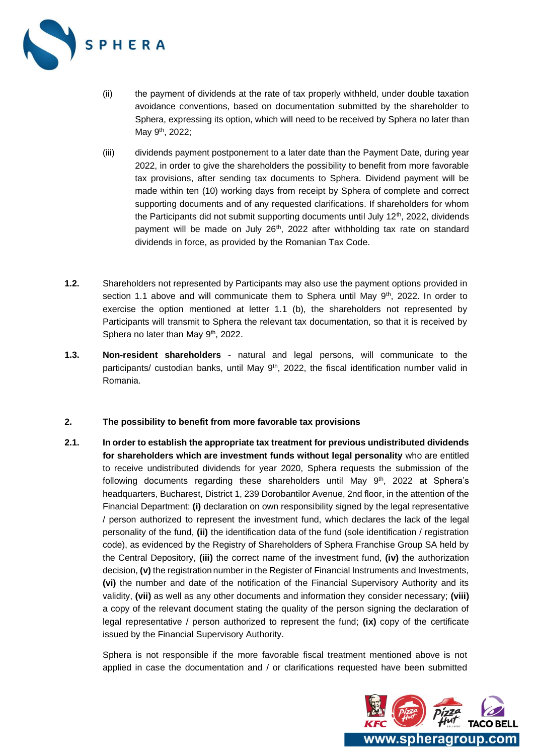

- (ii) the payment of dividends at the rate of tax properly withheld, under double taxation avoidance conventions, based on documentation submitted by the shareholder to Sphera, expressing its option, which will need to be received by Sphera no later than May 9<sup>th</sup>, 2022;
- (iii) dividends payment postponement to a later date than the Payment Date, during year 2022, in order to give the shareholders the possibility to benefit from more favorable tax provisions, after sending tax documents to Sphera. Dividend payment will be made within ten (10) working days from receipt by Sphera of complete and correct supporting documents and of any requested clarifications. If shareholders for whom the Participants did not submit supporting documents until July  $12<sup>th</sup>$ , 2022, dividends payment will be made on July  $26<sup>th</sup>$ , 2022 after withholding tax rate on standard dividends in force, as provided by the Romanian Tax Code.
- **1.2.** Shareholders not represented by Participants may also use the payment options provided in section 1.1 above and will communicate them to Sphera until May  $9<sup>th</sup>$ , 2022. In order to exercise the option mentioned at letter 1.1 (b), the shareholders not represented by Participants will transmit to Sphera the relevant tax documentation, so that it is received by Sphera no later than May 9<sup>th</sup>, 2022.
- **1.3. Non-resident shareholders** natural and legal persons, will communicate to the participants/ custodian banks, until May 9<sup>th</sup>, 2022, the fiscal identification number valid in Romania.

#### **2. The possibility to benefit from more favorable tax provisions**

**2.1. In order to establish the appropriate tax treatment for previous undistributed dividends for shareholders which are investment funds without legal personality** who are entitled to receive undistributed dividends for year 2020, Sphera requests the submission of the following documents regarding these shareholders until May 9<sup>th</sup>, 2022 at Sphera's headquarters, Bucharest, District 1, 239 Dorobantilor Avenue, 2nd floor, in the attention of the Financial Department: **(i)** declaration on own responsibility signed by the legal representative / person authorized to represent the investment fund, which declares the lack of the legal personality of the fund, **(ii)** the identification data of the fund (sole identification / registration code), as evidenced by the Registry of Shareholders of Sphera Franchise Group SA held by the Central Depository, **(iii)** the correct name of the investment fund, **(iv)** the authorization decision, (v) the registration number in the Register of Financial Instruments and Investments, **(vi)** the number and date of the notification of the Financial Supervisory Authority and its validity, **(vii)** as well as any other documents and information they consider necessary; **(viii)** a copy of the relevant document stating the quality of the person signing the declaration of legal representative / person authorized to represent the fund; **(ix)** copy of the certificate issued by the Financial Supervisory Authority.

Sphera is not responsible if the more favorable fiscal treatment mentioned above is not applied in case the documentation and / or clarifications requested have been submitted

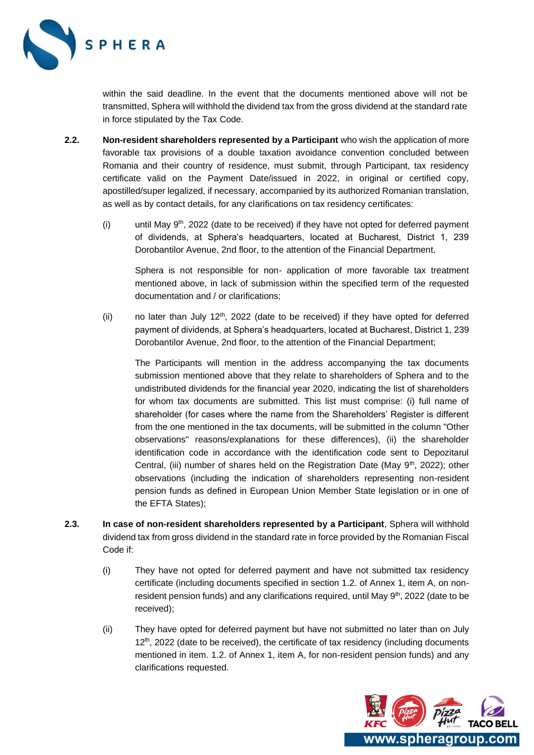

within the said deadline. In the event that the documents mentioned above will not be transmitted, Sphera will withhold the dividend tax from the gross dividend at the standard rate in force stipulated by the Tax Code.

- **2.2. Non-resident shareholders represented by a Participant** who wish the application of more favorable tax provisions of a double taxation avoidance convention concluded between Romania and their country of residence, must submit, through Participant, tax residency certificate valid on the Payment Date/issued in 2022, in original or certified copy, apostilled/super legalized, if necessary, accompanied by its authorized Romanian translation, as well as by contact details, for any clarifications on tax residency certificates:
	- (i) until May  $9<sup>th</sup>$ , 2022 (date to be received) if they have not opted for deferred payment of dividends, at Sphera's headquarters, located at Bucharest, District 1, 239 Dorobantilor Avenue, 2nd floor, to the attention of the Financial Department.

Sphera is not responsible for non- application of more favorable tax treatment mentioned above, in lack of submission within the specified term of the requested documentation and / or clarifications;

(ii) no later than July  $12<sup>th</sup>$ , 2022 (date to be received) if they have opted for deferred payment of dividends, at Sphera's headquarters, located at Bucharest, District 1, 239 Dorobantilor Avenue, 2nd floor, to the attention of the Financial Department;

The Participants will mention in the address accompanying the tax documents submission mentioned above that they relate to shareholders of Sphera and to the undistributed dividends for the financial year 2020, indicating the list of shareholders for whom tax documents are submitted. This list must comprise: (i) full name of shareholder (for cases where the name from the Shareholders' Register is different from the one mentioned in the tax documents, will be submitted in the column "Other observations" reasons/explanations for these differences), (ii) the shareholder identification code in accordance with the identification code sent to Depozitarul Central, (iii) number of shares held on the Registration Date (May 9<sup>th</sup>, 2022); other observations (including the indication of shareholders representing non-resident pension funds as defined in European Union Member State legislation or in one of the EFTA States);

- **2.3. In case of non-resident shareholders represented by a Participant**, Sphera will withhold dividend tax from gross dividend in the standard rate in force provided by the Romanian Fiscal Code if:
	- (i) They have not opted for deferred payment and have not submitted tax residency certificate (including documents specified in section 1.2. of Annex 1, item A, on nonresident pension funds) and any clarifications required, until May  $9<sup>th</sup>$ , 2022 (date to be received);
	- (ii) They have opted for deferred payment but have not submitted no later than on July 12<sup>th</sup>, 2022 (date to be received), the certificate of tax residency (including documents mentioned in item. 1.2. of Annex 1, item A, for non-resident pension funds) and any clarifications requested.

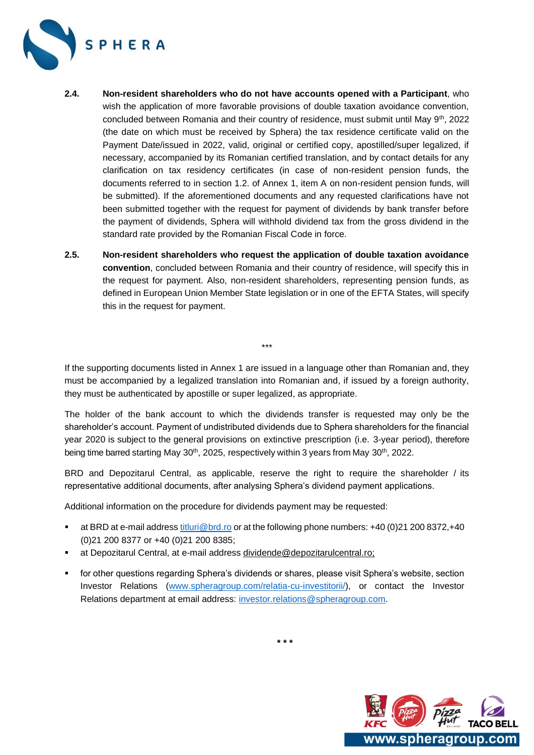

- **2.4. Non-resident shareholders who do not have accounts opened with a Participant**, who wish the application of more favorable provisions of double taxation avoidance convention, concluded between Romania and their country of residence, must submit until May 9<sup>th</sup>, 2022 (the date on which must be received by Sphera) the tax residence certificate valid on the Payment Date/issued in 2022, valid, original or certified copy, apostilled/super legalized, if necessary, accompanied by its Romanian certified translation, and by contact details for any clarification on tax residency certificates (in case of non-resident pension funds, the documents referred to in section 1.2. of Annex 1, item A on non-resident pension funds, will be submitted). If the aforementioned documents and any requested clarifications have not been submitted together with the request for payment of dividends by bank transfer before the payment of dividends, Sphera will withhold dividend tax from the gross dividend in the standard rate provided by the Romanian Fiscal Code in force.
- **2.5. Non-resident shareholders who request the application of double taxation avoidance convention**, concluded between Romania and their country of residence, will specify this in the request for payment. Also, non-resident shareholders, representing pension funds, as defined in European Union Member State legislation or in one of the EFTA States, will specify this in the request for payment.

If the supporting documents listed in Annex 1 are issued in a language other than Romanian and, they must be accompanied by a legalized translation into Romanian and, if issued by a foreign authority, they must be authenticated by apostille or super legalized, as appropriate.

\*\*\*

The holder of the bank account to which the dividends transfer is requested may only be the shareholder's account. Payment of undistributed dividends due to Sphera shareholders for the financial year 2020 is subject to the general provisions on extinctive prescription (i.e. 3-year period), therefore being time barred starting May 30<sup>th</sup>, 2025, respectively within 3 years from May 30<sup>th</sup>, 2022.

BRD and Depozitarul Central, as applicable, reserve the right to require the shareholder / its representative additional documents, after analysing Sphera's dividend payment applications.

Additional information on the procedure for dividends payment may be requested:

- at BRD at e-mail address [titluri@brd.ro](mailto:titluri@brd.ro) or at the following phone numbers: +40 (0)21 200 8372,+40 (0)21 200 8377 or +40 (0)21 200 8385;
- at Depozitarul Central, at e-mail address [dividende@depozitarulcentral.ro;](mailto:dividende@depozitarulcentral.ro)
- **•** for other questions regarding Sphera's dividends or shares, please visit Sphera's website, section Investor Relations [\(www.spheragroup.com/relatia-cu-investitorii/\)](http://www.spheragroup.com/relatia-cu-investitorii/), or contact the Investor Relations department at email address: [investor.relations@spheragroup.com.](mailto:investor.relations@spheragroup.com)



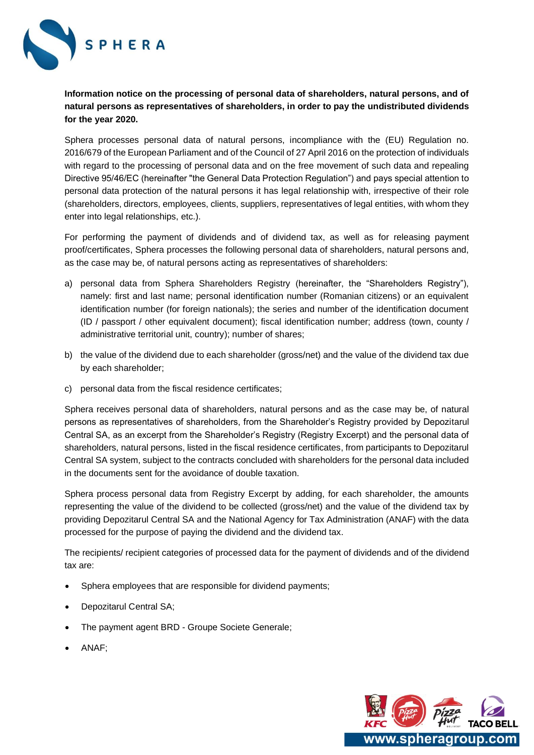

**Information notice on the processing of personal data of shareholders, natural persons, and of natural persons as representatives of shareholders, in order to pay the undistributed dividends for the year 2020.**

Sphera processes personal data of natural persons, incompliance with the (EU) Regulation no. 2016/679 of the European Parliament and of the Council of 27 April 2016 on the protection of individuals with regard to the processing of personal data and on the free movement of such data and repealing Directive 95/46/EC (hereinafter "the General Data Protection Regulation") and pays special attention to personal data protection of the natural persons it has legal relationship with, irrespective of their role (shareholders, directors, employees, clients, suppliers, representatives of legal entities, with whom they enter into legal relationships, etc.).

For performing the payment of dividends and of dividend tax, as well as for releasing payment proof/certificates, Sphera processes the following personal data of shareholders, natural persons and, as the case may be, of natural persons acting as representatives of shareholders:

- a) personal data from Sphera Shareholders Registry (hereinafter, the "Shareholders Registry"), namely: first and last name; personal identification number (Romanian citizens) or an equivalent identification number (for foreign nationals); the series and number of the identification document (ID / passport / other equivalent document); fiscal identification number; address (town, county / administrative territorial unit, country); number of shares;
- b) the value of the dividend due to each shareholder (gross/net) and the value of the dividend tax due by each shareholder;
- c) personal data from the fiscal residence certificates;

Sphera receives personal data of shareholders, natural persons and as the case may be, of natural persons as representatives of shareholders, from the Shareholder's Registry provided by Depozitarul Central SA, as an excerpt from the Shareholder's Registry (Registry Excerpt) and the personal data of shareholders, natural persons, listed in the fiscal residence certificates, from participants to Depozitarul Central SA system, subject to the contracts concluded with shareholders for the personal data included in the documents sent for the avoidance of double taxation.

Sphera process personal data from Registry Excerpt by adding, for each shareholder, the amounts representing the value of the dividend to be collected (gross/net) and the value of the dividend tax by providing Depozitarul Central SA and the National Agency for Tax Administration (ANAF) with the data processed for the purpose of paying the dividend and the dividend tax.

The recipients/ recipient categories of processed data for the payment of dividends and of the dividend tax are:

- Sphera employees that are responsible for dividend payments;
- Depozitarul Central SA;
- The payment agent BRD Groupe Societe Generale;
- ANAF;

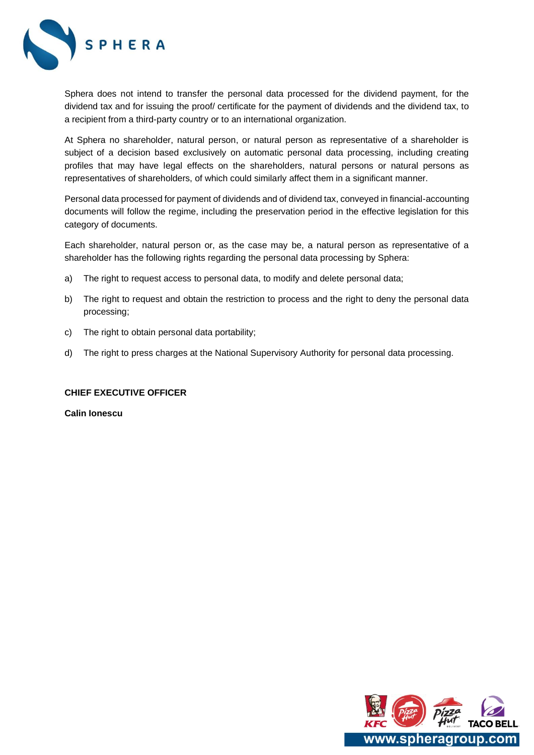

Sphera does not intend to transfer the personal data processed for the dividend payment, for the dividend tax and for issuing the proof/ certificate for the payment of dividends and the dividend tax, to a recipient from a third-party country or to an international organization.

At Sphera no shareholder, natural person, or natural person as representative of a shareholder is subject of a decision based exclusively on automatic personal data processing, including creating profiles that may have legal effects on the shareholders, natural persons or natural persons as representatives of shareholders, of which could similarly affect them in a significant manner.

Personal data processed for payment of dividends and of dividend tax, conveyed in financial-accounting documents will follow the regime, including the preservation period in the effective legislation for this category of documents.

Each shareholder, natural person or, as the case may be, a natural person as representative of a shareholder has the following rights regarding the personal data processing by Sphera:

- a) The right to request access to personal data, to modify and delete personal data;
- b) The right to request and obtain the restriction to process and the right to deny the personal data processing;
- c) The right to obtain personal data portability;
- d) The right to press charges at the National Supervisory Authority for personal data processing.

#### **CHIEF EXECUTIVE OFFICER**

**Calin Ionescu**

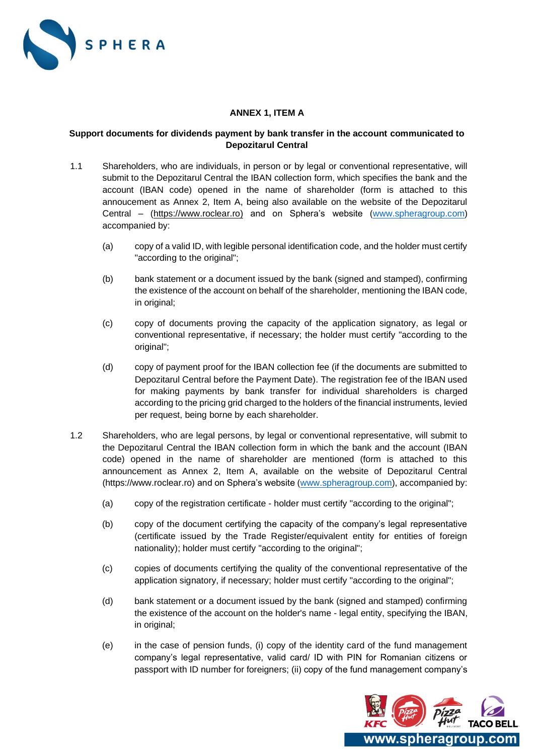

## **ANNEX 1, ITEM A**

## **Support documents for dividends payment by bank transfer in the account communicated to Depozitarul Central**

- 1.1 Shareholders, who are individuals, in person or by legal or conventional representative, will submit to the Depozitarul Central the IBAN collection form, which specifies the bank and the account (IBAN code) opened in the name of shareholder (form is attached to this annoucement as Annex 2, Item A, being also available on the website of the Depozitarul Central – [\(https://www.roclear.ro\)](https://www.roclear.ro)/) and on Sphera's website [\(www.spheragroup.com\)](http://www.spheragroup.com/) accompanied by:
	- (a) copy of a valid ID, with legible personal identification code, and the holder must certify "according to the original";
	- (b) bank statement or a document issued by the bank (signed and stamped), confirming the existence of the account on behalf of the shareholder, mentioning the IBAN code, in original;
	- (c) copy of documents proving the capacity of the application signatory, as legal or conventional representative, if necessary; the holder must certify "according to the original";
	- (d) copy of payment proof for the IBAN collection fee (if the documents are submitted to Depozitarul Central before the Payment Date). The registration fee of the IBAN used for making payments by bank transfer for individual shareholders is charged according to the pricing grid charged to the holders of the financial instruments, levied per request, being borne by each shareholder.
- 1.2 Shareholders, who are legal persons, by legal or conventional representative, will submit to the Depozitarul Central the IBAN collection form in which the bank and the account (IBAN code) opened in the name of shareholder are mentioned (form is attached to this announcement as Annex 2, Item A, available on the website of Depozitarul Central [\(https://www.roclear.ro\)](https://www.roclear.ro)/) and on Sphera's website [\(www.spheragroup.com\)](http://www.spheragroup.com/), accompanied by:
	- (a) copy of the registration certificate holder must certify "according to the original";
	- (b) copy of the document certifying the capacity of the company's legal representative (certificate issued by the Trade Register/equivalent entity for entities of foreign nationality); holder must certify "according to the original";
	- (c) copies of documents certifying the quality of the conventional representative of the application signatory, if necessary; holder must certify "according to the original";
	- (d) bank statement or a document issued by the bank (signed and stamped) confirming the existence of the account on the holder's name - legal entity, specifying the IBAN, in original;
	- (e) in the case of pension funds, (i) copy of the identity card of the fund management company's legal representative, valid card/ ID with PIN for Romanian citizens or passport with ID number for foreigners; (ii) copy of the fund management company's

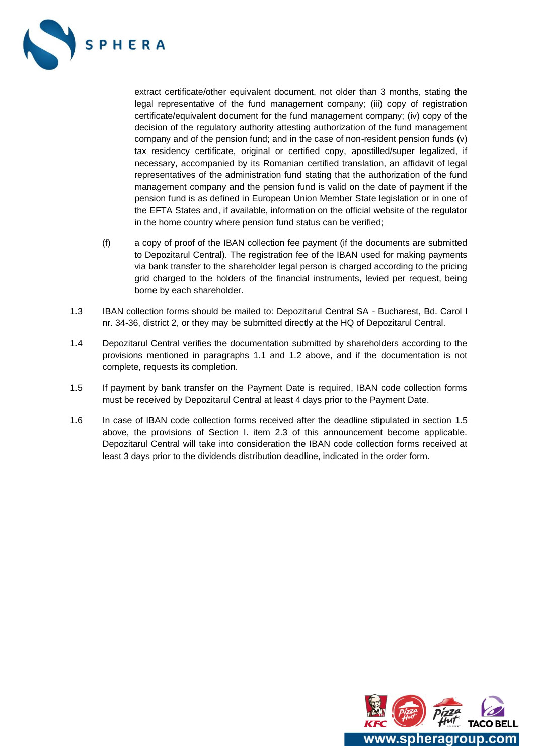![](_page_9_Picture_0.jpeg)

extract certificate/other equivalent document, not older than 3 months, stating the legal representative of the fund management company; (iii) copy of registration certificate/equivalent document for the fund management company; (iv) copy of the decision of the regulatory authority attesting authorization of the fund management company and of the pension fund; and in the case of non-resident pension funds (v) tax residency certificate, original or certified copy, apostilled/super legalized, if necessary, accompanied by its Romanian certified translation, an affidavit of legal representatives of the administration fund stating that the authorization of the fund management company and the pension fund is valid on the date of payment if the pension fund is as defined in European Union Member State legislation or in one of the EFTA States and, if available, information on the official website of the regulator in the home country where pension fund status can be verified;

- (f) a copy of proof of the IBAN collection fee payment (if the documents are submitted to Depozitarul Central). The registration fee of the IBAN used for making payments via bank transfer to the shareholder legal person is charged according to the pricing grid charged to the holders of the financial instruments, levied per request, being borne by each shareholder.
- 1.3 IBAN collection forms should be mailed to: Depozitarul Central SA Bucharest, Bd. Carol I nr. 34-36, district 2, or they may be submitted directly at the HQ of Depozitarul Central.
- 1.4 Depozitarul Central verifies the documentation submitted by shareholders according to the provisions mentioned in paragraphs 1.1 and 1.2 above, and if the documentation is not complete, requests its completion.
- 1.5 If payment by bank transfer on the Payment Date is required, IBAN code collection forms must be received by Depozitarul Central at least 4 days prior to the Payment Date.
- 1.6 In case of IBAN code collection forms received after the deadline stipulated in section 1.5 above, the provisions of Section I. item 2.3 of this announcement become applicable. Depozitarul Central will take into consideration the IBAN code collection forms received at least 3 days prior to the dividends distribution deadline, indicated in the order form.

![](_page_9_Picture_7.jpeg)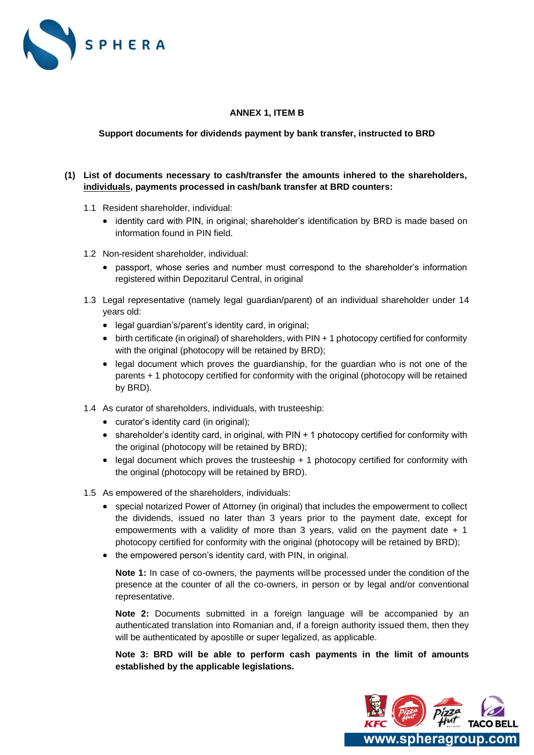![](_page_10_Picture_0.jpeg)

## **ANNEX 1, ITEM B**

## **Support documents for dividends payment by bank transfer, instructed to BRD**

## **(1) List of documents necessary to cash/transfer the amounts inhered to the shareholders, individuals, payments processed in cash/bank transfer at BRD counters:**

- 1.1 Resident shareholder, individual:
	- identity card with PIN, in original; shareholder's identification by BRD is made based on information found in PIN field.
- 1.2 Non-resident shareholder, individual:
	- passport, whose series and number must correspond to the shareholder's information registered within Depozitarul Central, in original
- 1.3 Legal representative (namely legal guardian/parent) of an individual shareholder under 14 years old:
	- legal guardian's/parent's identity card, in original;
	- birth certificate (in original) of shareholders, with PIN + 1 photocopy certified for conformity with the original (photocopy will be retained by BRD);
	- legal document which proves the guardianship, for the guardian who is not one of the parents + 1 photocopy certified for conformity with the original (photocopy will be retained by BRD).
- 1.4 As curator of shareholders, individuals, with trusteeship:
	- curator's identity card (in original);
	- shareholder's identity card, in original, with PIN + 1 photocopy certified for conformity with the original (photocopy will be retained by BRD);
	- legal document which proves the trusteeship + 1 photocopy certified for conformity with the original (photocopy will be retained by BRD).
- 1.5 As empowered of the shareholders, individuals:
	- special notarized Power of Attorney (in original) that includes the empowerment to collect the dividends, issued no later than 3 years prior to the payment date, except for empowerments with a validity of more than 3 years, valid on the payment date  $+1$ photocopy certified for conformity with the original (photocopy will be retained by BRD);
	- the empowered person's identity card, with PIN, in original.

**Note 1:** In case of co-owners, the payments willbe processed under the condition of the presence at the counter of all the co-owners, in person or by legal and/or conventional representative.

**Note 2:** Documents submitted in a foreign language will be accompanied by an authenticated translation into Romanian and, if a foreign authority issued them, then they will be authenticated by apostille or super legalized, as applicable.

**Note 3: BRD will be able to perform cash payments in the limit of amounts established by the applicable legislations.**

![](_page_10_Picture_22.jpeg)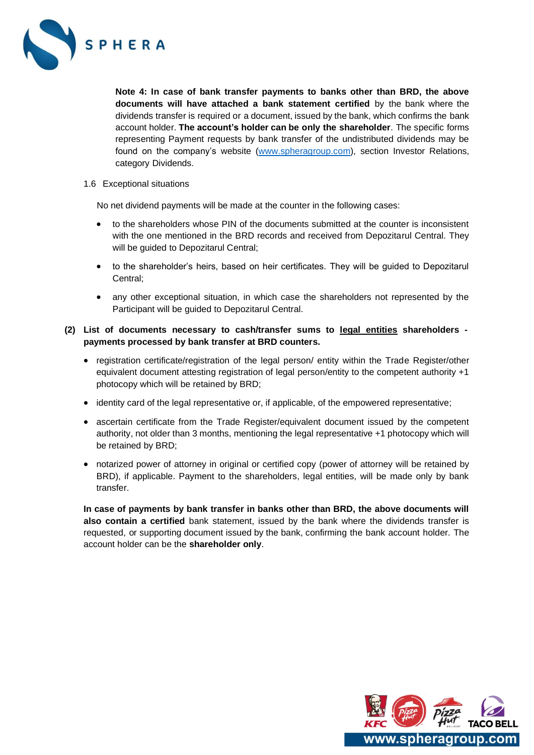![](_page_11_Picture_0.jpeg)

**Note 4: In case of bank transfer payments to banks other than BRD, the above documents will have attached a bank statement certified** by the bank where the dividends transfer is required or a document, issued by the bank, which confirms the bank account holder. **The account's holder can be only the shareholder**. The specific forms representing Payment requests by bank transfer of the undistributed dividends may be found on the company's website [\(www.spheragroup.com\)](http://www.spheragroup.com/), section Investor Relations, category Dividends.

1.6 Exceptional situations

No net dividend payments will be made at the counter in the following cases:

- to the shareholders whose PIN of the documents submitted at the counter is inconsistent with the one mentioned in the BRD records and received from Depozitarul Central. They will be guided to Depozitarul Central;
- to the shareholder's heirs, based on heir certificates. They will be quided to Depozitarul Central;
- any other exceptional situation, in which case the shareholders not represented by the Participant will be guided to Depozitarul Central.

## **(2) List of documents necessary to cash/transfer sums to legal entities shareholders payments processed by bank transfer at BRD counters.**

- registration certificate/registration of the legal person/ entity within the Trade Register/other equivalent document attesting registration of legal person/entity to the competent authority +1 photocopy which will be retained by BRD;
- identity card of the legal representative or, if applicable, of the empowered representative;
- ascertain certificate from the Trade Register/equivalent document issued by the competent authority, not older than 3 months, mentioning the legal representative +1 photocopy which will be retained by BRD;
- notarized power of attorney in original or certified copy (power of attorney will be retained by BRD), if applicable. Payment to the shareholders, legal entities, will be made only by bank transfer.

**In case of payments by bank transfer in banks other than BRD, the above documents will also contain a certified** bank statement, issued by the bank where the dividends transfer is requested, or supporting document issued by the bank, confirming the bank account holder. The account holder can be the **shareholder only**.

![](_page_11_Picture_13.jpeg)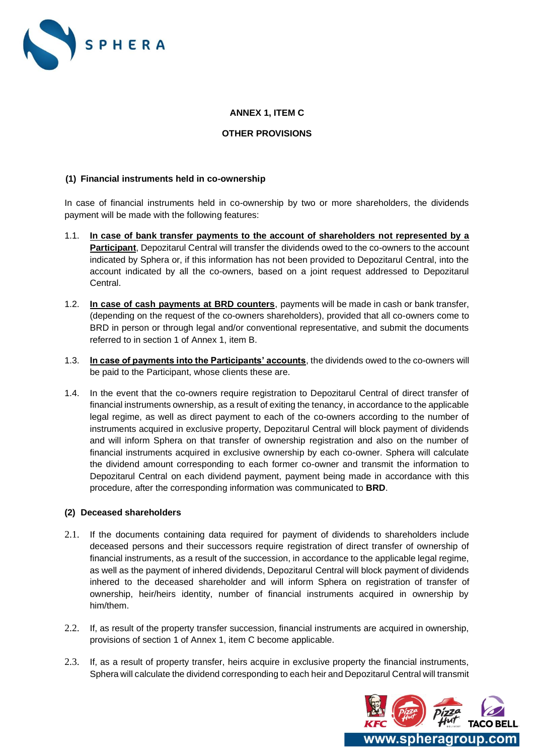![](_page_12_Picture_0.jpeg)

## **ANNEX 1, ITEM C**

#### **OTHER PROVISIONS**

## **(1) Financial instruments held in co-ownership**

In case of financial instruments held in co-ownership by two or more shareholders, the dividends payment will be made with the following features:

- 1.1. **In case of bank transfer payments to the account of shareholders not represented by a Participant**, Depozitarul Central will transfer the dividends owed to the co-owners to the account indicated by Sphera or, if this information has not been provided to Depozitarul Central, into the account indicated by all the co-owners, based on a joint request addressed to Depozitarul Central.
- 1.2. **In case of cash payments at BRD counters**, payments will be made in cash or bank transfer, (depending on the request of the co-owners shareholders), provided that all co-owners come to BRD in person or through legal and/or conventional representative, and submit the documents referred to in section 1 of Annex 1, item B.
- 1.3. **In case of payments into the Participants' accounts**, the dividends owed to the co-owners will be paid to the Participant, whose clients these are.
- 1.4. In the event that the co-owners require registration to Depozitarul Central of direct transfer of financial instruments ownership, as a result of exiting the tenancy, in accordance to the applicable legal regime, as well as direct payment to each of the co-owners according to the number of instruments acquired in exclusive property, Depozitarul Central will block payment of dividends and will inform Sphera on that transfer of ownership registration and also on the number of financial instruments acquired in exclusive ownership by each co-owner. Sphera will calculate the dividend amount corresponding to each former co-owner and transmit the information to Depozitarul Central on each dividend payment, payment being made in accordance with this procedure, after the corresponding information was communicated to **BRD**.

#### **(2) Deceased shareholders**

- 2.1. If the documents containing data required for payment of dividends to shareholders include deceased persons and their successors require registration of direct transfer of ownership of financial instruments, as a result of the succession, in accordance to the applicable legal regime, as well as the payment of inhered dividends, Depozitarul Central will block payment of dividends inhered to the deceased shareholder and will inform Sphera on registration of transfer of ownership, heir/heirs identity, number of financial instruments acquired in ownership by him/them.
- 2.2. If, as result of the property transfer succession, financial instruments are acquired in ownership, provisions of section 1 of Annex 1, item C become applicable.
- 2.3. If, as a result of property transfer, heirs acquire in exclusive property the financial instruments, Sphera will calculate the dividend corresponding to each heir and Depozitarul Central will transmit

![](_page_12_Picture_13.jpeg)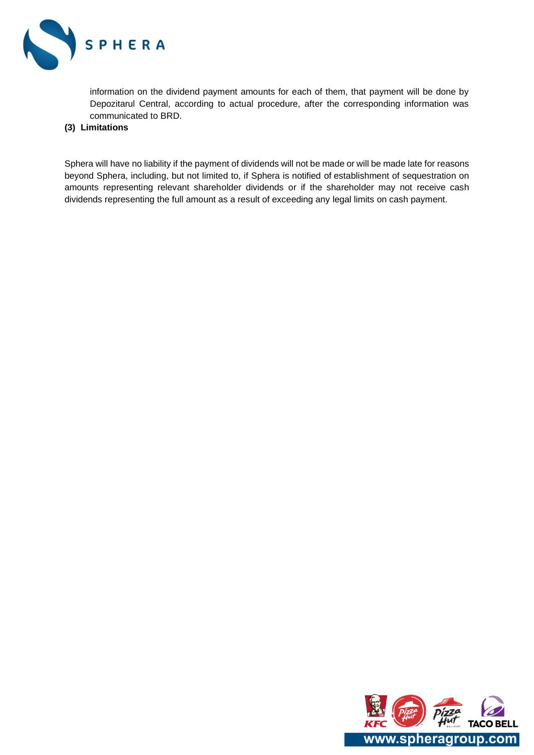![](_page_13_Picture_0.jpeg)

information on the dividend payment amounts for each of them, that payment will be done by Depozitarul Central, according to actual procedure, after the corresponding information was communicated to BRD.

## **(3) Limitations**

Sphera will have no liability if the payment of dividends will not be made or will be made late for reasons beyond Sphera, including, but not limited to, if Sphera is notified of establishment of sequestration on amounts representing relevant shareholder dividends or if the shareholder may not receive cash dividends representing the full amount as a result of exceeding any legal limits on cash payment.

![](_page_13_Picture_4.jpeg)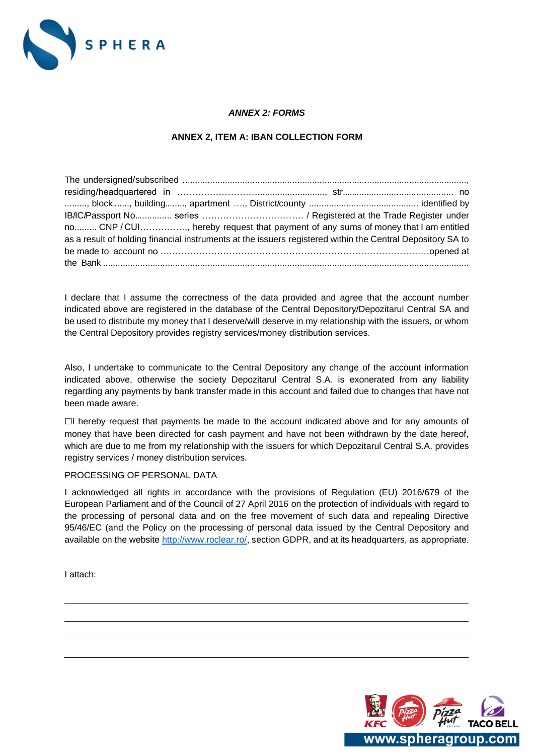![](_page_14_Picture_0.jpeg)

## *ANNEX 2: FORMS*

## **ANNEX 2, ITEM A: IBAN COLLECTION FORM**

| no CNP / CUI, hereby request that payment of any sums of money that I am entitled                          |  |
|------------------------------------------------------------------------------------------------------------|--|
| as a result of holding financial instruments at the issuers registered within the Central Depository SA to |  |
|                                                                                                            |  |
|                                                                                                            |  |

I declare that I assume the correctness of the data provided and agree that the account number indicated above are registered in the database of the Central Depository/Depozitarul Central SA and be used to distribute my money that I deserve/will deserve in my relationship with the issuers, or whom the Central Depository provides registry services/money distribution services.

Also, I undertake to communicate to the Central Depository any change of the account information indicated above, otherwise the society Depozitarul Central S.A. is exonerated from any liability regarding any payments by bank transfer made in this account and failed due to changes that have not been made aware.

☐I hereby request that payments be made to the account indicated above and for any amounts of money that have been directed for cash payment and have not been withdrawn by the date hereof, which are due to me from my relationship with the issuers for which Depozitarul Central S.A. provides registry services / money distribution services.

#### PROCESSING OF PERSONAL DATA

I acknowledged all rights in accordance with the provisions of Regulation (EU) 2016/679 of the European Parliament and of the Council of 27 April 2016 on the protection of individuals with regard to the processing of personal data and on the free movement of such data and repealing Directive 95/46/EC (and the Policy on the processing of personal data issued by the Central Depository and available on the website [http://www.roclear.ro/,](http://www.roclear.ro/) section GDPR, and at its headquarters, as appropriate.

I attach:

![](_page_14_Picture_10.jpeg)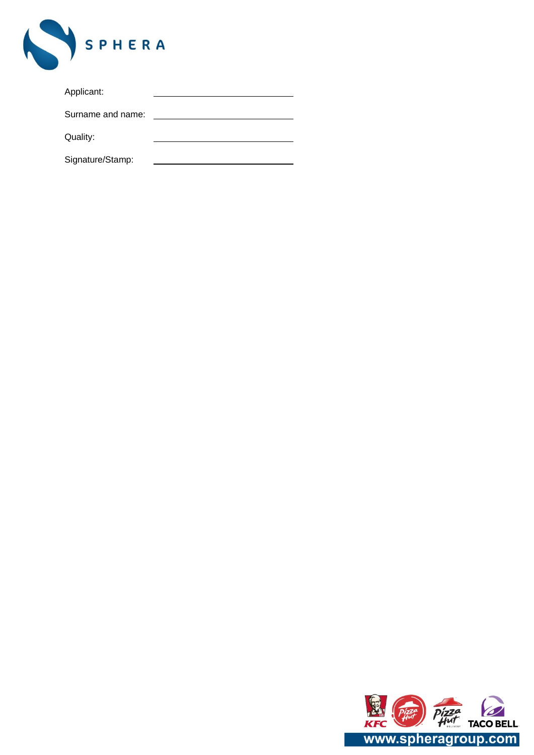![](_page_15_Picture_0.jpeg)

| Applicant: |  |
|------------|--|
|            |  |

Surname and name:

Quality:

 $\overline{\phantom{a}}$ 

Signature/Stamp:

![](_page_15_Picture_5.jpeg)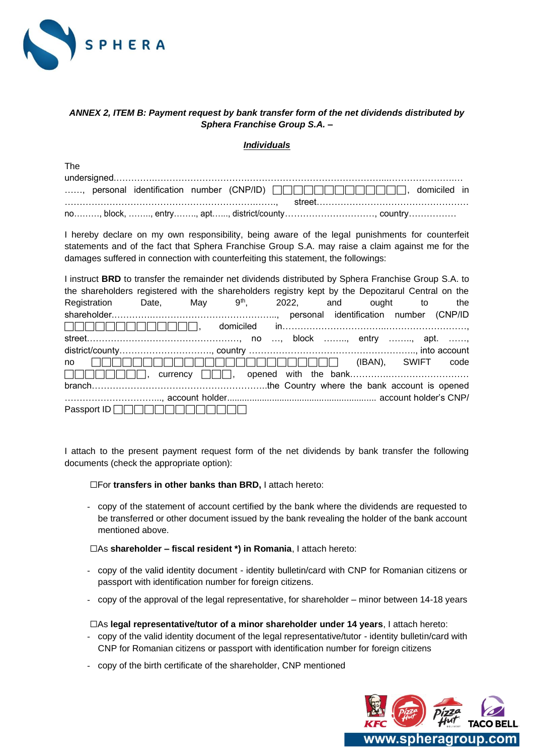![](_page_16_Picture_0.jpeg)

## *ANNEX 2, ITEM B: Payment request by bank transfer form of the net dividends distributed by Sphera Franchise Group S.A. –*

#### *Individuals*

| The |  |  |                                                                                                  |
|-----|--|--|--------------------------------------------------------------------------------------------------|
|     |  |  |                                                                                                  |
|     |  |  | , personal identification number (CNP/ID) <b>CONTININININININININININININININ</b> , domiciled in |
|     |  |  |                                                                                                  |
|     |  |  |                                                                                                  |

I hereby declare on my own responsibility, being aware of the legal punishments for counterfeit statements and of the fact that Sphera Franchise Group S.A. may raise a claim against me for the damages suffered in connection with counterfeiting this statement, the followings:

| I instruct BRD to transfer the remainder net dividends distributed by Sphera Franchise Group S.A. to |  |  |  |     |
|------------------------------------------------------------------------------------------------------|--|--|--|-----|
| the shareholders registered with the shareholders registry kept by the Depozitarul Central on the    |  |  |  |     |
| Registration Date, May 9 <sup>th</sup> , 2022, and ought to                                          |  |  |  | the |
|                                                                                                      |  |  |  |     |
|                                                                                                      |  |  |  |     |
|                                                                                                      |  |  |  |     |
|                                                                                                      |  |  |  |     |
| no                                                                                                   |  |  |  |     |
|                                                                                                      |  |  |  |     |
|                                                                                                      |  |  |  |     |
|                                                                                                      |  |  |  |     |
| Passport ID                                                                                          |  |  |  |     |

I attach to the present payment request form of the net dividends by bank transfer the following documents (check the appropriate option):

☐For **transfers in other banks than BRD,** I attach hereto:

- copy of the statement of account certified by the bank where the dividends are requested to be transferred or other document issued by the bank revealing the holder of the bank account mentioned above.

☐As **shareholder – fiscal resident \*) in Romania**, I attach hereto:

- copy of the valid identity document identity bulletin/card with CNP for Romanian citizens or passport with identification number for foreign citizens.
- copy of the approval of the legal representative, for shareholder minor between 14-18 years

☐As **legal representative/tutor of a minor shareholder under 14 years**, I attach hereto:

- copy of the valid identity document of the legal representative/tutor identity bulletin/card with CNP for Romanian citizens or passport with identification number for foreign citizens
- copy of the birth certificate of the shareholder, CNP mentioned

![](_page_16_Picture_15.jpeg)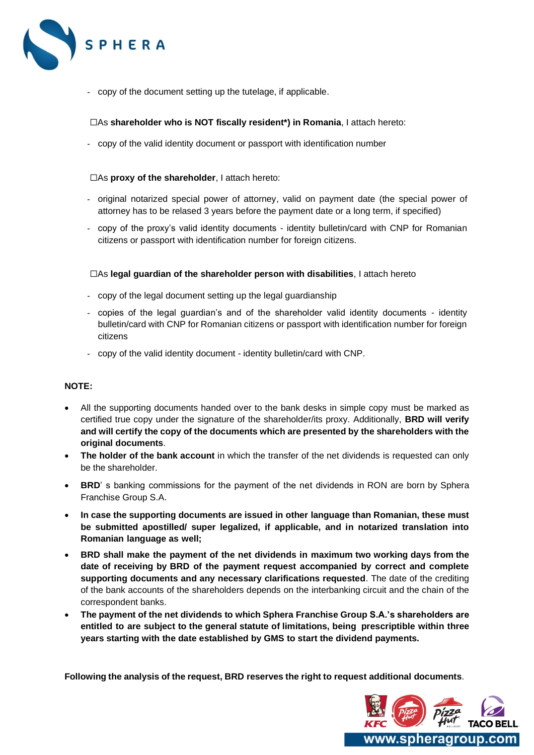![](_page_17_Picture_0.jpeg)

- copy of the document setting up the tutelage, if applicable.

#### ☐As **shareholder who is NOT fiscally resident\*) in Romania**, I attach hereto:

- copy of the valid identity document or passport with identification number

#### ☐As **proxy of the shareholder**, I attach hereto:

- original notarized special power of attorney, valid on payment date (the special power of attorney has to be relased 3 years before the payment date or a long term, if specified)
- copy of the proxy's valid identity documents identity bulletin/card with CNP for Romanian citizens or passport with identification number for foreign citizens.

#### ☐As **legal guardian of the shareholder person with disabilities**, I attach hereto

- copy of the legal document setting up the legal guardianship
- copies of the legal guardian's and of the shareholder valid identity documents identity bulletin/card with CNP for Romanian citizens or passport with identification number for foreign citizens
- copy of the valid identity document identity bulletin/card with CNP.

#### **NOTE:**

- All the supporting documents handed over to the bank desks in simple copy must be marked as certified true copy under the signature of the shareholder/its proxy. Additionally, **BRD will verify and will certify the copy of the documents which are presented by the shareholders with the original documents**.
- **The holder of the bank account** in which the transfer of the net dividends is requested can only be the shareholder.
- **BRD**' s banking commissions for the payment of the net dividends in RON are born by Sphera Franchise Group S.A.
- **In case the supporting documents are issued in other language than Romanian, these must be submitted apostilled/ super legalized, if applicable, and in notarized translation into Romanian language as well;**
- **BRD shall make the payment of the net dividends in maximum two working days from the date of receiving by BRD of the payment request accompanied by correct and complete supporting documents and any necessary clarifications requested**. The date of the crediting of the bank accounts of the shareholders depends on the interbanking circuit and the chain of the correspondent banks.
- **The payment of the net dividends to which Sphera Franchise Group S.A.'s shareholders are entitled to are subject to the general statute of limitations, being prescriptible within three years starting with the date established by GMS to start the dividend payments.**

**Following the analysis of the request, BRD reserves the right to request additional documents**.

![](_page_17_Picture_19.jpeg)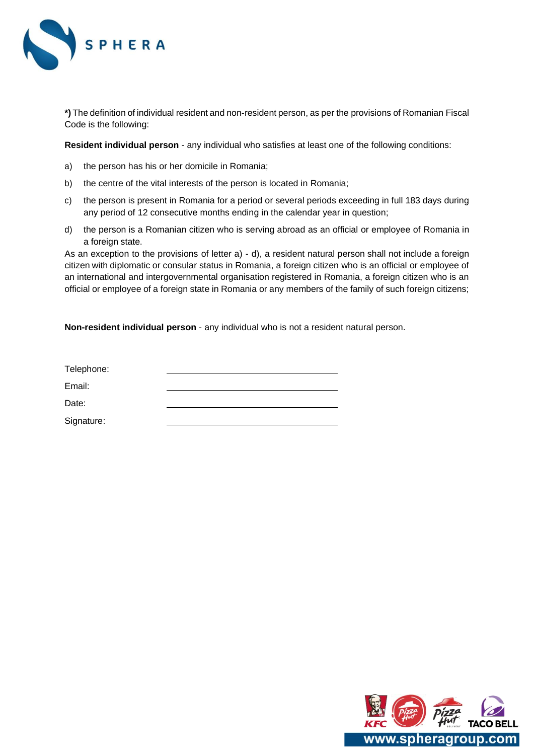![](_page_18_Picture_0.jpeg)

\*) The definition of individual resident and non-resident person, as per the provisions of Romanian Fiscal Code is the following:

**Resident individual person** - any individual who satisfies at least one of the following conditions:

- a) the person has his or her domicile in Romania;
- b) the centre of the vital interests of the person is located in Romania;
- c) the person is present in Romania for a period or several periods exceeding in full 183 days during any period of 12 consecutive months ending in the calendar year in question;
- d) the person is a Romanian citizen who is serving abroad as an official or employee of Romania in a foreign state.

As an exception to the provisions of letter a) - d), a resident natural person shall not include a foreign citizen with diplomatic or consular status in Romania, a foreign citizen who is an official or employee of an international and intergovernmental organisation registered in Romania, a foreign citizen who is an official or employee of a foreign state in Romania or any members of the family of such foreign citizens;

**Non-resident individual person** - any individual who is not a resident natural person.

| Telephone: |  |
|------------|--|
| Email:     |  |
| Date:      |  |
| Signature: |  |
|            |  |

![](_page_18_Picture_10.jpeg)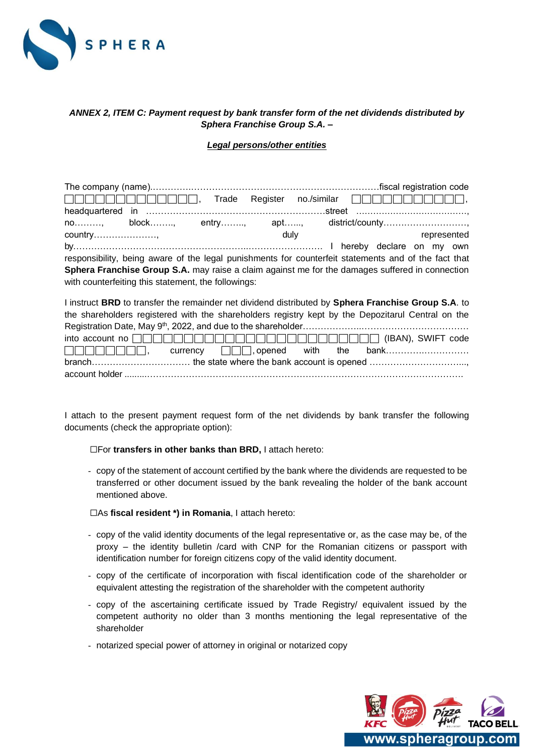![](_page_19_Picture_0.jpeg)

# *ANNEX 2, ITEM C: Payment request by bank transfer form of the net dividends distributed by Sphera Franchise Group S.A. –*

*Legal persons/other entities*

|                                                                                                      |      |  | Trade Register no./similar $\Box \Box \Box \Box \Box \Box \Box \Box \Box \Box \Box \Box \Box$ |  |
|------------------------------------------------------------------------------------------------------|------|--|-----------------------------------------------------------------------------------------------|--|
|                                                                                                      |      |  |                                                                                               |  |
| no, block, entry, apt, district/county                                                               |      |  |                                                                                               |  |
|                                                                                                      | duly |  | represented                                                                                   |  |
|                                                                                                      |      |  |                                                                                               |  |
| responsibility, being aware of the legal punishments for counterfeit statements and of the fact that |      |  |                                                                                               |  |
| Sphera Franchise Group S.A. may raise a claim against me for the damages suffered in connection      |      |  |                                                                                               |  |
| with counterfeiting this statement, the followings:                                                  |      |  |                                                                                               |  |
|                                                                                                      |      |  |                                                                                               |  |

| I instruct BRD to transfer the remainder net dividend distributed by Sphera Franchise Group S.A. to |
|-----------------------------------------------------------------------------------------------------|
| the shareholders registered with the shareholders registry kept by the Depozitarul Central on the   |
|                                                                                                     |
|                                                                                                     |
| $\Box \Box \Box \Box \Box \Box \Box$ , currency $\Box \Box \Box$ , opened with the bank             |
|                                                                                                     |
|                                                                                                     |

I attach to the present payment request form of the net dividends by bank transfer the following documents (check the appropriate option):

☐For **transfers in other banks than BRD,** I attach hereto:

- copy of the statement of account certified by the bank where the dividends are requested to be transferred or other document issued by the bank revealing the holder of the bank account mentioned above.

☐As **fiscal resident \*) in Romania**, I attach hereto:

- copy of the valid identity documents of the legal representative or, as the case may be, of the proxy – the identity bulletin /card with CNP for the Romanian citizens or passport with identification number for foreign citizens copy of the valid identity document.
- copy of the certificate of incorporation with fiscal identification code of the shareholder or equivalent attesting the registration of the shareholder with the competent authority
- copy of the ascertaining certificate issued by Trade Registry/ equivalent issued by the competent authority no older than 3 months mentioning the legal representative of the shareholder
- notarized special power of attorney in original or notarized copy

![](_page_19_Picture_13.jpeg)